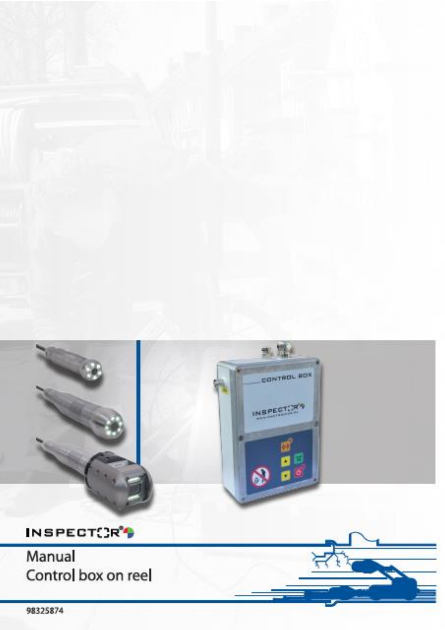

**Control box on reel (ENG) 98325874 rev G page 1 of 14**

Control box on reel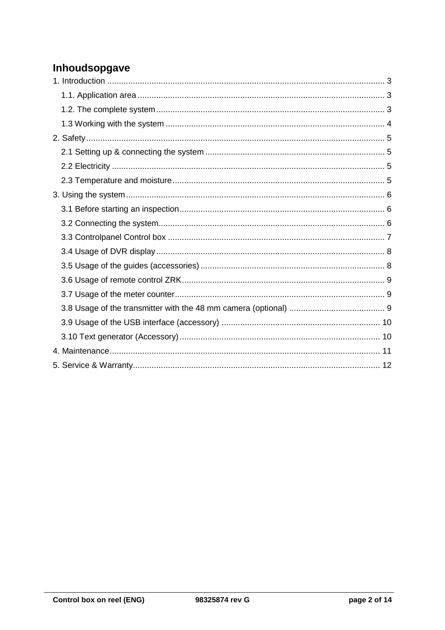# Inhoudsopgave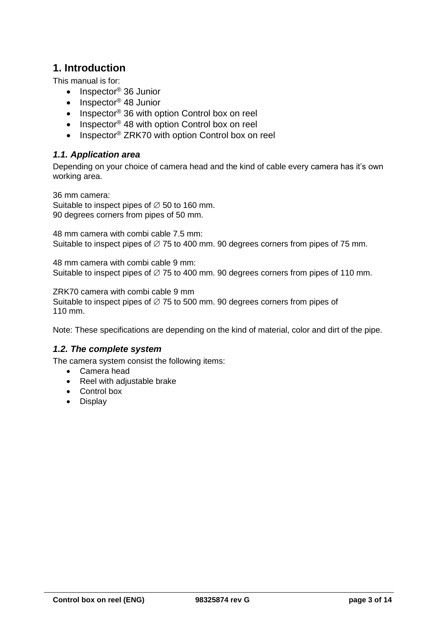## <span id="page-2-0"></span>**1. Introduction**

This manual is for:

- $\bullet$  Inspector<sup>®</sup> 36 Junior
- $\bullet$  Inspector<sup>®</sup> 48 Junior
- Inspector<sup>®</sup> 36 with option Control box on reel
- Inspector<sup>®</sup> 48 with option Control box on reel
- Inspector<sup>®</sup> ZRK70 with option Control box on reel

### <span id="page-2-1"></span>*1.1. Application area*

Depending on your choice of camera head and the kind of cable every camera has it's own working area.

36 mm camera: Suitable to inspect pipes of  $\varnothing$  50 to 160 mm. 90 degrees corners from pipes of 50 mm.

48 mm camera with combi cable 7.5 mm: Suitable to inspect pipes of  $\varnothing$  75 to 400 mm. 90 degrees corners from pipes of 75 mm.

48 mm camera with combi cable 9 mm: Suitable to inspect pipes of  $\varnothing$  75 to 400 mm. 90 degrees corners from pipes of 110 mm.

ZRK70 camera with combi cable 9 mm

Suitable to inspect pipes of  $\varnothing$  75 to 500 mm. 90 degrees corners from pipes of 110 mm.

<span id="page-2-2"></span>Note: These specifications are depending on the kind of material, color and dirt of the pipe.

#### *1.2. The complete system*

The camera system consist the following items:

- Camera head
- Reel with adjustable brake
- Control box
- Display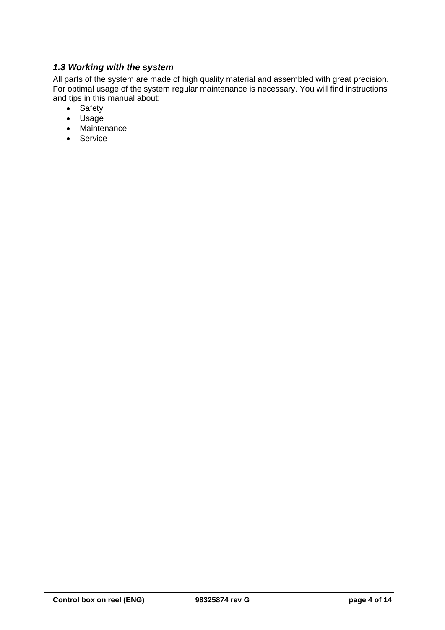## <span id="page-3-0"></span>*1.3 Working with the system*

All parts of the system are made of high quality material and assembled with great precision. For optimal usage of the system regular maintenance is necessary. You will find instructions and tips in this manual about:

- Safety
- Usage
- Maintenance
- Service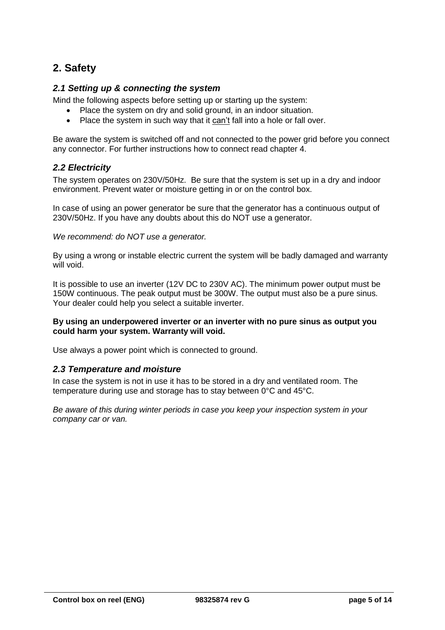## <span id="page-4-0"></span>**2. Safety**

#### <span id="page-4-1"></span>*2.1 Setting up & connecting the system*

Mind the following aspects before setting up or starting up the system:

- Place the system on dry and solid ground, in an indoor situation.
- Place the system in such way that it can't fall into a hole or fall over.

Be aware the system is switched off and not connected to the power grid before you connect any connector. For further instructions how to connect read chapter 4.

#### <span id="page-4-2"></span>*2.2 Electricity*

The system operates on 230V/50Hz. Be sure that the system is set up in a dry and indoor environment. Prevent water or moisture getting in or on the control box.

In case of using an power generator be sure that the generator has a continuous output of 230V/50Hz. If you have any doubts about this do NOT use a generator.

*We recommend: do NOT use a generator.*

By using a wrong or instable electric current the system will be badly damaged and warranty will void.

It is possible to use an inverter (12V DC to 230V AC). The minimum power output must be 150W continuous. The peak output must be 300W. The output must also be a pure sinus. Your dealer could help you select a suitable inverter.

#### **By using an underpowered inverter or an inverter with no pure sinus as output you could harm your system. Warranty will void.**

<span id="page-4-3"></span>Use always a power point which is connected to ground.

#### *2.3 Temperature and moisture*

In case the system is not in use it has to be stored in a dry and ventilated room. The temperature during use and storage has to stay between 0°C and 45°C.

*Be aware of this during winter periods in case you keep your inspection system in your company car or van.*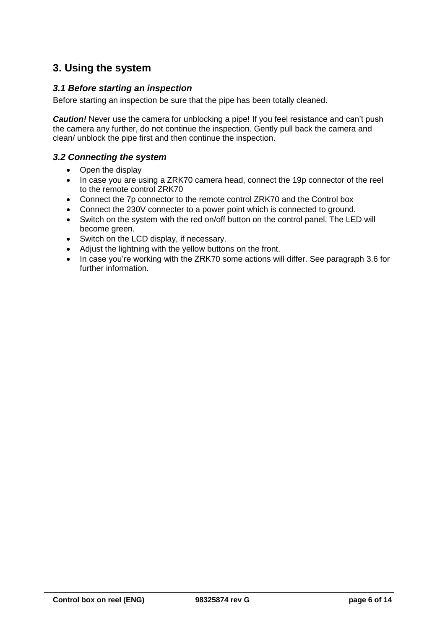## <span id="page-5-0"></span>**3. Using the system**

#### <span id="page-5-1"></span>*3.1 Before starting an inspection*

Before starting an inspection be sure that the pipe has been totally cleaned.

*Caution!* Never use the camera for unblocking a pipe! If you feel resistance and can't push the camera any further, do not continue the inspection. Gently pull back the camera and clean/ unblock the pipe first and then continue the inspection.

#### <span id="page-5-2"></span>*3.2 Connecting the system*

- Open the display
- In case you are using a ZRK70 camera head, connect the 19p connector of the reel to the remote control ZRK70
- Connect the 7p connector to the remote control ZRK70 and the Control box
- Connect the 230V connecter to a power point which is connected to ground.
- Switch on the system with the red on/off button on the control panel. The LED will become green.
- Switch on the LCD display, if necessary.
- Adjust the lightning with the yellow buttons on the front.
- In case you're working with the ZRK70 some actions will differ. See paragraph 3.6 for further information.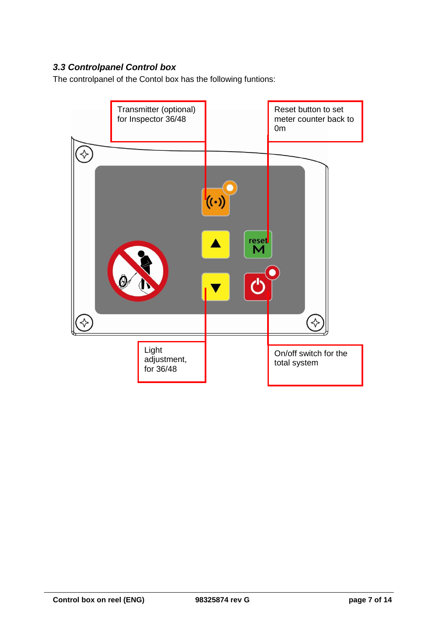## <span id="page-6-0"></span>*3.3 Controlpanel Control box*

The controlpanel of the Contol box has the following funtions:

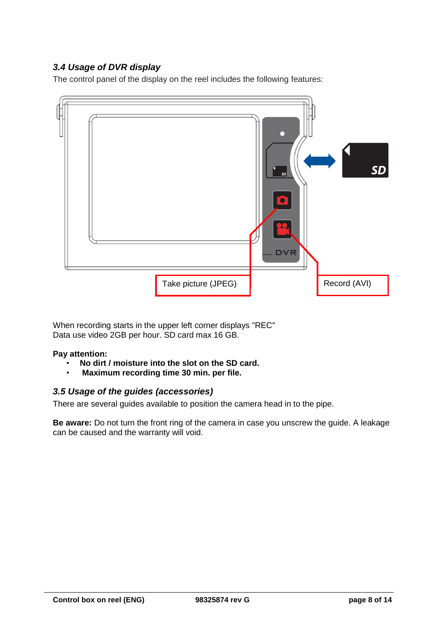## <span id="page-7-0"></span>*3.4 Usage of DVR display*

The control panel of the display on the reel includes the following features:



When recording starts in the upper left corner displays "REC" Data use video 2GB per hour. SD card max 16 GB.

#### **Pay attention:**

- **No dirt / moisture into the slot on the SD card.**
- **Maximum recording time 30 min. per file.**

#### <span id="page-7-1"></span>*3.5 Usage of the guides (accessories)*

There are several guides available to position the camera head in to the pipe.

**Be aware:** Do not turn the front ring of the camera in case you unscrew the guide. A leakage can be caused and the warranty will void.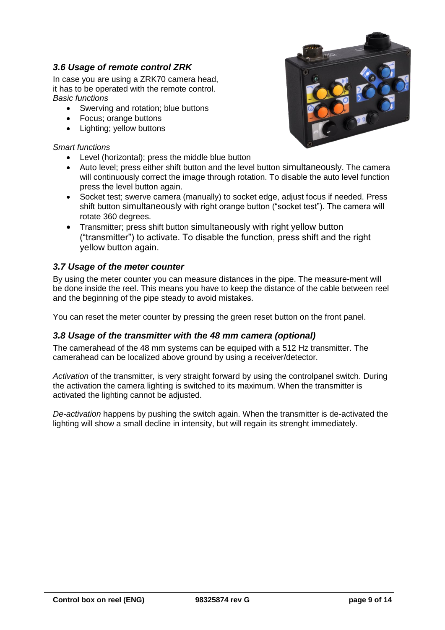### <span id="page-8-0"></span>*3.6 Usage of remote control ZRK*

In case you are using a ZRK70 camera head, it has to be operated with the remote control. *Basic functions*

- Swerving and rotation; blue buttons
- Focus; orange buttons
- Lighting; yellow buttons

#### *Smart functions*

- Level (horizontal): press the middle blue button
- Auto level; press either shift button and the level button simultaneously. The camera will continuously correct the image through rotation. To disable the auto level function press the level button again.
- Socket test; swerve camera (manually) to socket edge, adjust focus if needed. Press shift button simultaneously with right orange button ("socket test"). The camera will rotate 360 degrees.
- Transmitter; press shift button simultaneously with right yellow button ("transmitter") to activate. To disable the function, press shift and the right yellow button again.

#### <span id="page-8-1"></span>*3.7 Usage of the meter counter*

By using the meter counter you can measure distances in the pipe. The measure-ment will be done inside the reel. This means you have to keep the distance of the cable between reel and the beginning of the pipe steady to avoid mistakes.

<span id="page-8-2"></span>You can reset the meter counter by pressing the green reset button on the front panel.

#### *3.8 Usage of the transmitter with the 48 mm camera (optional)*

The camerahead of the 48 mm systems can be equiped with a 512 Hz transmitter. The camerahead can be localized above ground by using a receiver/detector.

*Activation* of the transmitter, is very straight forward by using the controlpanel switch. During the activation the camera lighting is switched to its maximum. When the transmitter is activated the lighting cannot be adjusted.

*De-activation* happens by pushing the switch again. When the transmitter is de-activated the lighting will show a small decline in intensity, but will regain its strenght immediately.

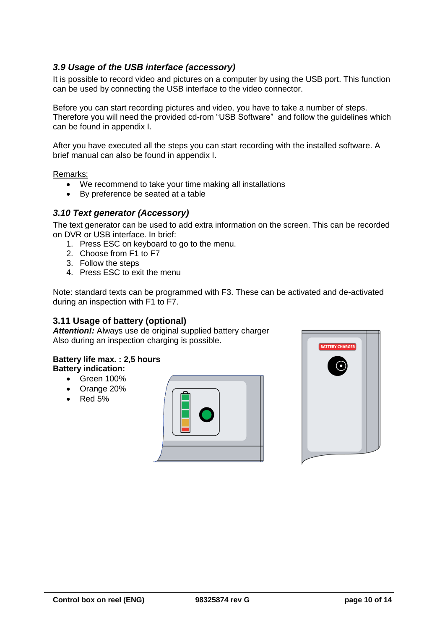### <span id="page-9-0"></span>*3.9 Usage of the USB interface (accessory)*

It is possible to record video and pictures on a computer by using the USB port. This function can be used by connecting the USB interface to the video connector.

Before you can start recording pictures and video, you have to take a number of steps. Therefore you will need the provided cd-rom "USB Software" and follow the guidelines which can be found in appendix I.

After you have executed all the steps you can start recording with the installed software. A brief manual can also be found in appendix I.

Remarks:

- We recommend to take your time making all installations
- By preference be seated at a table

### <span id="page-9-1"></span>*3.10 Text generator (Accessory)*

The text generator can be used to add extra information on the screen. This can be recorded on DVR or USB interface. In brief:

- 1. Press ESC on keyboard to go to the menu.
- 2. Choose from F1 to F7
- 3. Follow the steps
- 4. Press ESC to exit the menu

Note: standard texts can be programmed with F3. These can be activated and de-activated during an inspection with F1 to F7.

#### **3.11 Usage of battery (optional)**

*Attention!:* Always use de original supplied battery charger Also during an inspection charging is possible.

#### **Battery life max. : 2,5 hours Battery indication:**

- Green 100%
- Orange 20%
- $\cdot$  Red 5%



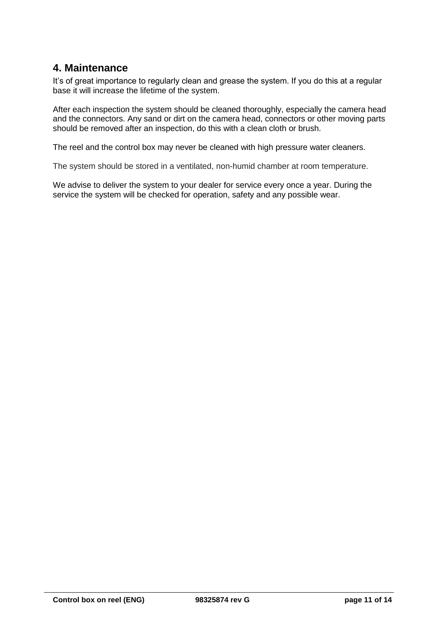## <span id="page-10-0"></span>**4. Maintenance**

It's of great importance to regularly clean and grease the system. If you do this at a regular base it will increase the lifetime of the system.

After each inspection the system should be cleaned thoroughly, especially the camera head and the connectors. Any sand or dirt on the camera head, connectors or other moving parts should be removed after an inspection, do this with a clean cloth or brush.

The reel and the control box may never be cleaned with high pressure water cleaners.

The system should be stored in a ventilated, non-humid chamber at room temperature.

We advise to deliver the system to your dealer for service every once a year. During the service the system will be checked for operation, safety and any possible wear.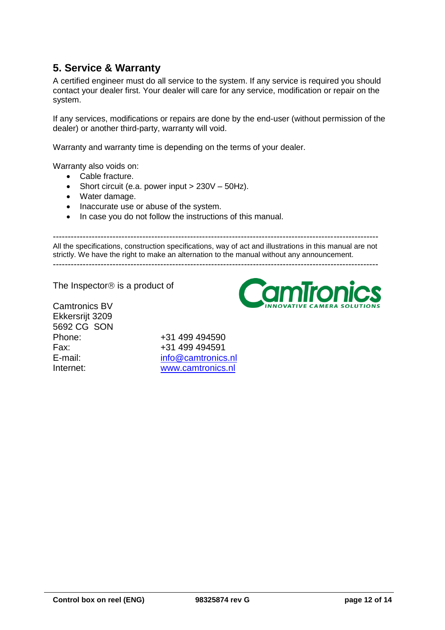## <span id="page-11-0"></span>**5. Service & Warranty**

A certified engineer must do all service to the system. If any service is required you should contact your dealer first. Your dealer will care for any service, modification or repair on the system.

If any services, modifications or repairs are done by the end-user (without permission of the dealer) or another third-party, warranty will void.

Warranty and warranty time is depending on the terms of your dealer.

Warranty also voids on:

- Cable fracture.
- Short circuit (e.a. power input  $> 230V 50Hz$ ).
- Water damage.
- Inaccurate use or abuse of the system.
- In case you do not follow the instructions of this manual.

------------------------------------------------------------------------------------------------------------- All the specifications, construction specifications, way of act and illustrations in this manual are not strictly. We have the right to make an alternation to the manual without any announcement. -------------------------------------------------------------------------------------------------------------

The Inspector<sup>®</sup> is a product of

Camtronics BV Ekkersrijt 3209 5692 CG SON

Phone: +31 499 494590 Fax: +31 499 494591 E-mail: [info@camtronics.nl](mailto:info@camtronics.nl) Internet: [www.camtronics.nl](http://www.camtronics.nl/)

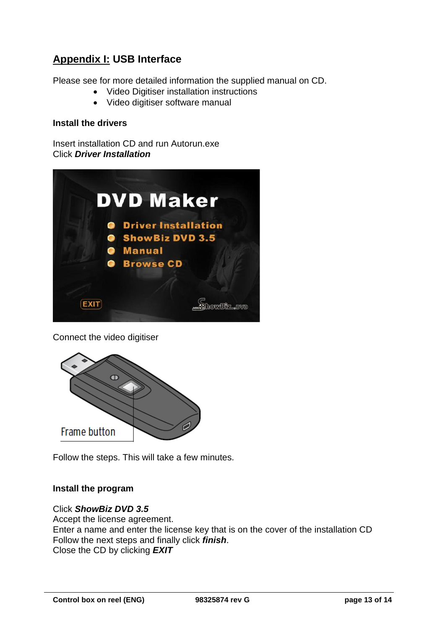## **Appendix I: USB Interface**

Please see for more detailed information the supplied manual on CD.

- Video Digitiser installation instructions
- Video digitiser software manual

### **Install the drivers**

Insert installation CD and run Autorun.exe Click *Driver Installation*



Connect the video digitiser



Follow the steps. This will take a few minutes.

## **Install the program**

Click *ShowBiz DVD 3.5* Accept the license agreement. Enter a name and enter the license key that is on the cover of the installation CD Follow the next steps and finally click *finish*. Close the CD by clicking *EXIT*